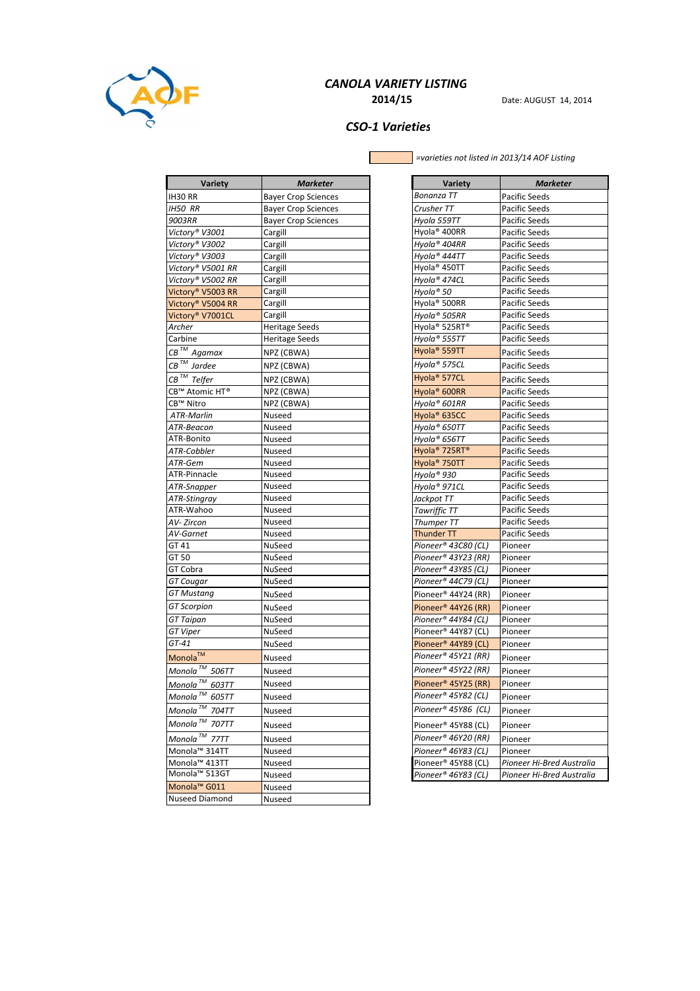

# CANOLA VARIETY LISTING

**2014/15** Date: AUGUST 14, 2014

# CSO-1 Varieties

=varieties not listed in 2013/14 AOF Listing

| <b>Variety</b>                                | <b>Marketer</b>            | Variety                               | <b>Marketer</b>           |
|-----------------------------------------------|----------------------------|---------------------------------------|---------------------------|
| IH30 RR                                       | <b>Bayer Crop Sciences</b> | Bonanza TT                            | Pacific Seeds             |
| <b>IH50 RR</b>                                | <b>Bayer Crop Sciences</b> | Crusher TT                            | Pacific Seeds             |
| 9003RR                                        | <b>Bayer Crop Sciences</b> | Hyola 559TT                           | Pacific Seeds             |
| Victory® V3001                                | Cargill                    | Hyola <sup>®</sup> 400RR              | Pacific Seeds             |
| Victory® V3002                                | Cargill                    | Hyola® 404RR                          | Pacific Seeds             |
| Victory® V3003                                | Cargill                    | Hyola® 444TT                          | Pacific Seeds             |
| Victory® V5001 RR                             | Cargill                    | Hyola <sup>®</sup> 450TT              | Pacific Seeds             |
| Victory® V5002 RR                             | Cargill                    | Hyola® 474CL                          | Pacific Seeds             |
| Victory® V5003 RR                             | Cargill                    | Hyola® 50                             | Pacific Seeds             |
| Victory® V5004 RR                             | Cargill                    | Hyola <sup>®</sup> 500RR              | Pacific Seeds             |
| Victory <sup>®</sup> V7001CL                  | Cargill                    | Hyola® 505RR                          | Pacific Seeds             |
| Archer                                        | <b>Heritage Seeds</b>      | Hyola <sup>®</sup> 525RT <sup>®</sup> | Pacific Seeds             |
| Carbine                                       | <b>Heritage Seeds</b>      | Hyola® 555TT                          | Pacific Seeds             |
| CB <sup>™</sup> Agamax                        | NPZ (CBWA)                 | Hyola <sup>®</sup> 559TT              | Pacific Seeds             |
| $CB^{\mathsf{TM}}$ Jardee                     | NPZ (CBWA)                 | Hyola® 575CL                          | Pacific Seeds             |
| $\overline{\textit{CB}}^{\textit{TM}}$ Telfer | NPZ (CBWA)                 | Hyola <sup>®</sup> 577CL              | Pacific Seeds             |
| CB™ Atomic HT®                                | NPZ (CBWA)                 | Hyola <sup>®</sup> 600RR              | Pacific Seeds             |
| CB™ Nitro                                     | NPZ (CBWA)                 | Hyola® 601RR                          | Pacific Seeds             |
| <b>ATR-Marlin</b>                             | Nuseed                     | Hyola <sup>®</sup> 635CC              | Pacific Seeds             |
| ATR-Beacon                                    | Nuseed                     | Hyola® 650TT                          | Pacific Seeds             |
| ATR-Bonito                                    | Nuseed                     | Hyola® 656TT                          | Pacific Seeds             |
| ATR-Cobbler                                   | Nuseed                     | Hyola <sup>®</sup> 725RT <sup>®</sup> | Pacific Seeds             |
| ATR-Gem                                       | Nuseed                     | Hyola <sup>®</sup> 750TT              | Pacific Seeds             |
| ATR-Pinnacle                                  | Nuseed                     | Hyola® 930                            | Pacific Seeds             |
| ATR-Snapper                                   | Nuseed                     | Hyola® 971CL                          | Pacific Seeds             |
| <b>ATR-Stingray</b>                           | Nuseed                     | Jackpot TT                            | Pacific Seeds             |
| ATR-Wahoo                                     | Nuseed                     | <b>Tawriffic TT</b>                   | Pacific Seeds             |
| AV- Zircon                                    | Nuseed                     | Thumper TT                            | Pacific Seeds             |
| AV-Garnet                                     | Nuseed                     | <b>Thunder TT</b>                     | Pacific Seeds             |
| GT 41                                         | NuSeed                     | Pioneer® 43C80 (CL)                   | Pioneer                   |
| GT 50                                         | NuSeed                     | Pioneer® 43Y23 (RR)                   | Pioneer                   |
| GT Cobra                                      | NuSeed                     | Pioneer® 43Y85 (CL)                   | Pioneer                   |
| <b>GT</b> Cougar                              | NuSeed                     | Pioneer® 44C79 (CL)                   | Pioneer                   |
| <b>GT Mustang</b>                             | NuSeed                     | Pioneer <sup>®</sup> 44Y24 (RR)       | Pioneer                   |
| <b>GT</b> Scorpion                            | NuSeed                     | Pioneer <sup>®</sup> 44Y26 (RR)       | Pioneer                   |
| <b>GT</b> Taipan                              | NuSeed                     | Pioneer® 44Y84 (CL)                   | Pioneer                   |
| GT Viper                                      | NuSeed                     | Pioneer® 44Y87 (CL)                   | Pioneer                   |
| GT-41                                         | NuSeed                     | Pioneer <sup>®</sup> 44Y89 (CL)       | Pioneer                   |
| Monola™                                       | Nuseed                     | Pioneer® 45Y21 (RR)                   | Pioneer                   |
| Monola <sup>™</sup> 506TT                     | Nuseed                     | Pioneer® 45Y22 (RR)                   | Pioneer                   |
| Monola <sup>™</sup> 603TT                     | Nuseed                     | Pioneer <sup>®</sup> 45Y25 (RR)       | Pioneer                   |
| Monola <sup>TM</sup> 605TT                    | Nuseed                     | Pioneer® 45Y82 (CL)                   | Pioneer                   |
| Monola <sup>™</sup> 704TT                     | Nuseed                     | Pioneer® 45Y86 (CL)                   | Pioneer                   |
| Monola <sup>™</sup> 707TT                     | Nuseed                     | Pioneer® 45Y88 (CL)                   | Pioneer                   |
| Monola <sup>™</sup> 77TT                      | Nuseed                     | Pioneer® 46Y20 (RR)                   | Pioneer                   |
| Monola™ 314TT                                 | Nuseed                     | Pioneer® 46Y83 (CL)                   | Pioneer                   |
| Monola™ 413TT                                 | Nuseed                     | Pioneer® 45Y88 (CL)                   | Pioneer Hi-Bred Australia |
| Monola <sup>™</sup> 513GT                     | Nuseed                     | Pioneer® 46Y83 (CL)                   | Pioneer Hi-Bred Australia |
| Monola <sup>™</sup> G011                      | Nuseed                     |                                       |                           |
| Nuseed Diamond                                | Nuseed                     |                                       |                           |
|                                               |                            |                                       |                           |

| Variety                               | <b>Marketer</b>           |
|---------------------------------------|---------------------------|
| Bonanza TT                            | Pacific Seeds             |
| Crusher TT                            | Pacific Seeds             |
| Hyola 559TT                           | Pacific Seeds             |
| Hyola <sup>®</sup> 400RR              | Pacific Seeds             |
| Hyola® 404RR                          | Pacific Seeds             |
| Hyola® 444TT                          | Pacific Seeds             |
| Hyola <sup>®</sup> 450TT              | <b>Pacific Seeds</b>      |
| Hyola® 474CL                          | <b>Pacific Seeds</b>      |
| Hyola® 50                             | Pacific Seeds             |
| Hyola® 500RR                          | Pacific Seeds             |
| Hyola® 505RR                          | Pacific Seeds             |
| Hyola <sup>®</sup> 525RT®             | Pacific Seeds             |
| Hyola® 555TT                          | <b>Pacific Seeds</b>      |
| Hyola <sup>®</sup> 559TT              | Pacific Seeds             |
| Hyola® 575CL                          | Pacific Seeds             |
| Hyola <sup>®</sup> 577CL              | Pacific Seeds             |
| Hyola <sup>®</sup> 600RR              | Pacific Seeds             |
| Hyola® 601RR                          | Pacific Seeds             |
| Hyola <sup>®</sup> 635CC              | Pacific Seeds             |
| Hyola® 650TT                          | Pacific Seeds             |
| Hyola® 656TT                          | Pacific Seeds             |
| Hyola <sup>®</sup> 725RT <sup>®</sup> | Pacific Seeds             |
| Hyola <sup>®</sup> 750TT              | Pacific Seeds             |
| Hyola® 930                            | Pacific Seeds             |
| Hyola® 971CL                          | Pacific Seeds             |
| Jackpot TT                            | Pacific Seeds             |
| Tawriffic TT                          | Pacific Seeds             |
| Thumper TT                            | Pacific Seeds             |
| Thunder TT                            | Pacific Seeds             |
| Pioneer® 43C80 (CL)                   | Pioneer                   |
| Pioneer® 43Y23 (RR)                   | Pioneer                   |
| Pioneer® 43Y85 (CL)                   | Pioneer                   |
| Pioneer® 44C79 (CL)                   | Pioneer                   |
| Pioneer® 44Y24 (RR)                   | Pioneer                   |
| Pioneer <sup>®</sup> 44Y26 (RR)       | Pioneer                   |
| Pioneer® 44Y84 (CL)                   | Pioneer                   |
| Pioneer® 44Y87 (CL)                   | Pioneer                   |
| Pioneer <sup>®</sup> 44Y89 (CL)       | Pioneer                   |
| Pioneer® 45Y21 (RR)                   | Pioneer                   |
| Pioneer® 45Y22 (RR)                   | Pioneer                   |
| Pioneer <sup>®</sup> 45Y25 (RR)       | Pioneer                   |
| Pioneer® 45Y82 (CL)                   | Pioneer                   |
| Pioneer® 45Y86 (CL)                   | Pioneer                   |
| Pioneer® 45Y88 (CL)                   | Pioneer                   |
| Pioneer® 46Y20 (RR)                   | Pioneer                   |
| Pioneer® 46Y83 (CL)                   | Pioneer                   |
| Pioneer® 45Y88 (CL)                   | Pioneer Hi-Bred Australia |
| Pioneer® 46Y83 (CL)                   | Pioneer Hi-Bred Australia |